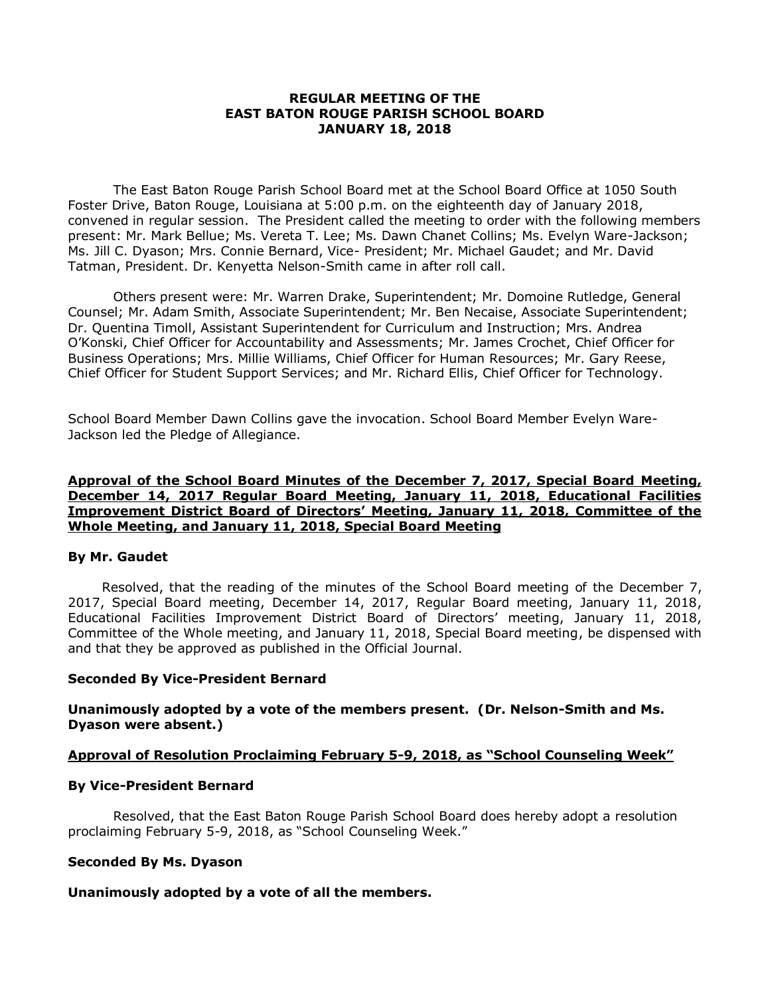### **REGULAR MEETING OF THE EAST BATON ROUGE PARISH SCHOOL BOARD JANUARY 18, 2018**

The East Baton Rouge Parish School Board met at the School Board Office at 1050 South Foster Drive, Baton Rouge, Louisiana at 5:00 p.m. on the eighteenth day of January 2018, convened in regular session. The President called the meeting to order with the following members present: Mr. Mark Bellue; Ms. Vereta T. Lee; Ms. Dawn Chanet Collins; Ms. Evelyn Ware-Jackson; Ms. Jill C. Dyason; Mrs. Connie Bernard, Vice- President; Mr. Michael Gaudet; and Mr. David Tatman, President. Dr. Kenyetta Nelson-Smith came in after roll call.

Others present were: Mr. Warren Drake, Superintendent; Mr. Domoine Rutledge, General Counsel; Mr. Adam Smith, Associate Superintendent; Mr. Ben Necaise, Associate Superintendent; Dr. Quentina Timoll, Assistant Superintendent for Curriculum and Instruction; Mrs. Andrea O'Konski, Chief Officer for Accountability and Assessments; Mr. James Crochet, Chief Officer for Business Operations; Mrs. Millie Williams, Chief Officer for Human Resources; Mr. Gary Reese, Chief Officer for Student Support Services; and Mr. Richard Ellis, Chief Officer for Technology.

School Board Member Dawn Collins gave the invocation. School Board Member Evelyn Ware-Jackson led the Pledge of Allegiance.

### **Approval of the School Board Minutes of the December 7, 2017, Special Board Meeting, December 14, 2017 Regular Board Meeting, January 11, 2018, Educational Facilities Improvement District Board of Directors' Meeting, January 11, 2018, Committee of the Whole Meeting, and January 11, 2018, Special Board Meeting**

## **By Mr. Gaudet**

Resolved, that the reading of the minutes of the School Board meeting of the December 7, 2017, Special Board meeting, December 14, 2017, Regular Board meeting, January 11, 2018, Educational Facilities Improvement District Board of Directors' meeting, January 11, 2018, Committee of the Whole meeting, and January 11, 2018, Special Board meeting, be dispensed with and that they be approved as published in the Official Journal.

## **Seconded By Vice-President Bernard**

## **Unanimously adopted by a vote of the members present. (Dr. Nelson-Smith and Ms. Dyason were absent.)**

## **Approval of Resolution Proclaiming February 5-9, 2018, as "School Counseling Week"**

#### **By Vice-President Bernard**

Resolved, that the East Baton Rouge Parish School Board does hereby adopt a resolution proclaiming February 5-9, 2018, as "School Counseling Week."

## **Seconded By Ms. Dyason**

## **Unanimously adopted by a vote of all the members.**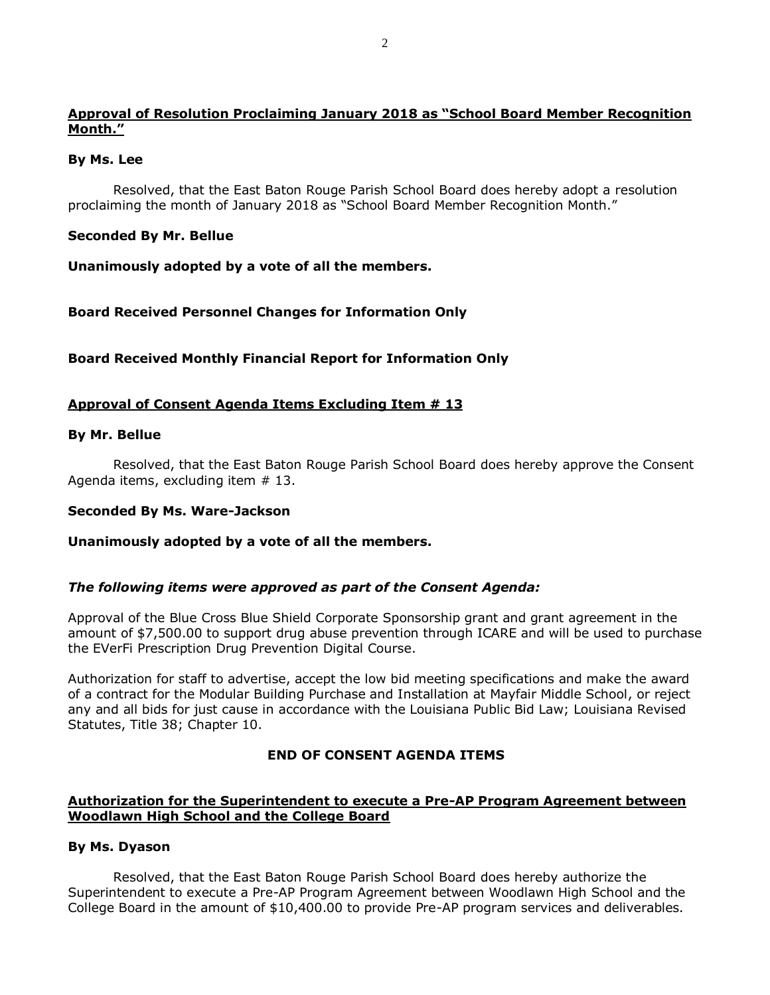# **Approval of Resolution Proclaiming January 2018 as "School Board Member Recognition Month."**

## **By Ms. Lee**

Resolved, that the East Baton Rouge Parish School Board does hereby adopt a resolution proclaiming the month of January 2018 as "School Board Member Recognition Month."

# **Seconded By Mr. Bellue**

**Unanimously adopted by a vote of all the members.**

**Board Received Personnel Changes for Information Only**

**Board Received Monthly Financial Report for Information Only**

# **Approval of Consent Agenda Items Excluding Item # 13**

#### **By Mr. Bellue**

Resolved, that the East Baton Rouge Parish School Board does hereby approve the Consent Agenda items, excluding item # 13.

## **Seconded By Ms. Ware-Jackson**

## **Unanimously adopted by a vote of all the members.**

## *The following items were approved as part of the Consent Agenda:*

Approval of the Blue Cross Blue Shield Corporate Sponsorship grant and grant agreement in the amount of \$7,500.00 to support drug abuse prevention through ICARE and will be used to purchase the EVerFi Prescription Drug Prevention Digital Course.

Authorization for staff to advertise, accept the low bid meeting specifications and make the award of a contract for the Modular Building Purchase and Installation at Mayfair Middle School, or reject any and all bids for just cause in accordance with the Louisiana Public Bid Law; Louisiana Revised Statutes, Title 38; Chapter 10.

## **END OF CONSENT AGENDA ITEMS**

# **Authorization for the Superintendent to execute a Pre-AP Program Agreement between Woodlawn High School and the College Board**

## **By Ms. Dyason**

Resolved, that the East Baton Rouge Parish School Board does hereby authorize the Superintendent to execute a Pre-AP Program Agreement between Woodlawn High School and the College Board in the amount of \$10,400.00 to provide Pre-AP program services and deliverables.